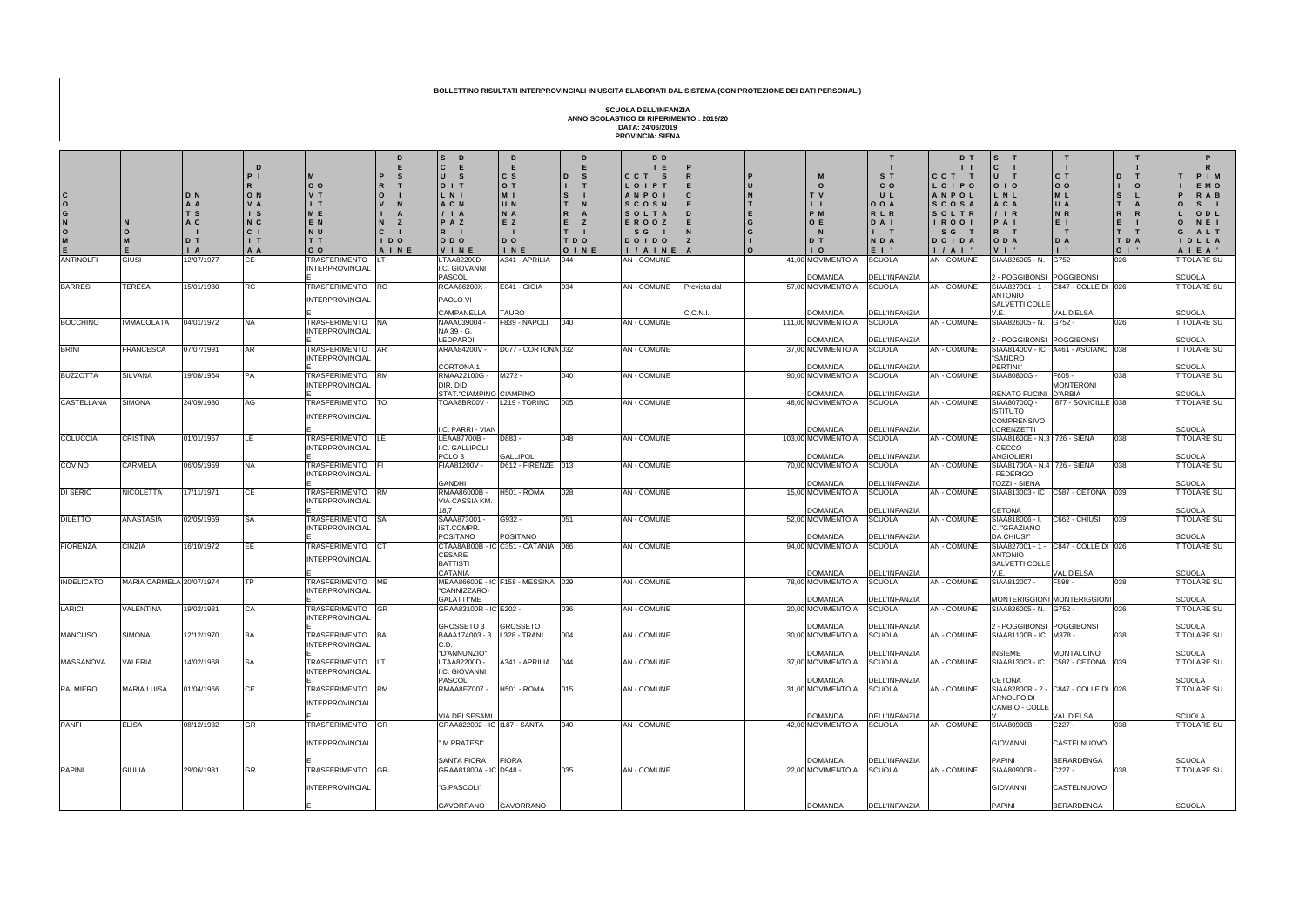**C O G N O M E N O M E D N A A T S A C D T I A I P I R O N V A I S N C C I I T A A D M O O V T I T M E E N N U T T O O P R O V N I A N Z C I I D O A I N E D E S T I S D**  $|c|$ **U S O I T L N I A C N / I A P A Z R I O D O V I N E E C S O T M I U N N A E Z D O I N E D E I D I S I**  $\mathsf{L}$ **R A E Z T I T D O O I N E D E S T N C C L O A N S C S O E R D O I / S** ANTINOLFI GIUSI 12/07/1977 CE TRASFERIMENTO INTERPROVINCIAL E LT LTAA82200D - I.C. GIOVANNI PASCOLI A341 - APRILIA 044 AN - COMUNE 41,00 MOVIMENTO A BARRESI | TERESA | 15/01/1980 | RC | TRASFERIMENTO | RC INTERPROVINCIAL E RC RCAA86200X - PAOLO VI - CAMPANELLA E041 - GIOIA TAURO 034 AN - C BOCCHINO |IMMACOLATA 04/01/1972 |NA |TRASFERIMENTO NA INTERPROVINCIAL E NA NAAA039004 - NA 39 - G. LEOPARDI  $\begin{bmatrix} 5 & 0 & 0 \\ 0 & 0 & 0 \end{bmatrix}$  AN - C BRINI | FRANCESCA 07/07/1991 | AR TRASFERIMENTO AR INTERPROVINCIAL E AR ARAA84200V - CORTONA 1  $\vert$ D077 - CORTONA $\vert$ 032  $\vert$ AN - C BUZZOTTA SILVANA 19/08/1964 PA TRASFERIMENTO INTERPROVINCIAL E RM RMAA22100G - M272 - DIR. DID. STAT."CIAMPINO CIAMPINO CASTELLANA SIMONA 24/09/1980 AG TRASFERIMENTO INTERPROVINCIAL E TO TOAA8BR00V - L219 - TORINO 005 AN - COMUNE 48,00 MOVIMENTO A .C. PARRI - VIAN COLUCCIA CRISTINA 01/01/1957 LE TRASFERIMENTO INTERPROVINCIAL E LE LEAA87700B - I.C. GALLIPOLI POLO 3 D883 - **GALLIPOLI** COVINO CARMELA 06/05/1959 NA TRASFERIMENTO INTERPROVINCIAL E FIAA81200V -GANDHI  $\overline{DB12}$  - FIRENZE  $\overline{013}$  AN - C DI SERIO | NICOLETTA | 17/11/1971 | CE | TRASFERIMENTO | RM INTERPROVINCIAL E RM RMAA86000B - VIA CASSIA KM. 18,7 H501 - ROMA 028 AN - COMUNE 15,00 MOVIMENTO A DILETTO ANASTASIA 02/05/1959 SA TRASFERIMENTO SA **INTERPROVINCIAL** E SAAA873001 -IST.COMPR. POSITANO G932 - POSITANO FIORENZA CINZIA 16/10/1972 EE TRASFERIMENTO INTERPROVINCIAL E CT CTAA8AB00B - IC C351 - CATANIA 066 AN - COMUNE 94,00 MOVIMENTO A CESARE **BATTISTI CATANIA** INDELICATO MARIA CARMELA 20/07/1974 TP TRASFERIMENTO ME INTERPROVINCIAL E ME MEAA86600E - IC F158 - MESSINA 029 AN - COMUNE 78,00 MOVIMENTO A "CANNIZZARO-GALATTI"ME LARICI | VALENTINA | 19/02/1981 | CA | TRASFERIMENTO GR INTERPROVINCIAL E GR GRAA83100R - IC E202 - GROSSETO 3 GROSSETO MANCUSO SIMONA 12/12/1970 BA TRASFERIMENTO BA INTERPROVINCIAL E BA BAAA174003 - 3 L328 - TRANI 004 AN - COMUNE 30,00 MOVIMENTO A C.D. "D'ANNUNZIO" MASSANOVA VALERIA 14/02/1968 SA TRASFERIMENTO LT INTERPROVINCIAL E LT LTAA82200D - I.C. GIOVANNI PASCOLI  $\overline{)A341 - APRILIA}$   $\overline{)044}$   $\overline{)AN - C}$ PALMIERO MARIA LUISA 01/04/1966 CE TRASFERIMENTO RM INTERPROVINCIAL E RM RMAA8EZ007 - H501 - ROMA 015 AN - COMUNE 31,00 MOVIMENTO A VIA DEI SESAMI PANFI ELISA 08/12/1982 GR TRASFERIMENTO GR INTERPROVINCIAL E GR GRAA822002 - IC I187 - SANTA " M.PRATESI" SANTA FIORA FIORA PAPINI GIULIA 29/06/1981 GR TRASFERIMENTO GR **INTERPROVINCIAL** E GR GRAA81800A - IC D948 - "G.PASCOLI" GAVORRANO GAVORRANO

| D                | D D                |                            |             |                                     |                                       | D T                 | $\mathbf{s}$                               |                                    | т                            | P                                   |
|------------------|--------------------|----------------------------|-------------|-------------------------------------|---------------------------------------|---------------------|--------------------------------------------|------------------------------------|------------------------------|-------------------------------------|
|                  | E                  | P                          |             |                                     |                                       |                     | $\mathbf c$                                |                                    |                              | R                                   |
| S<br>D           | C C T<br><b>S</b>  | $\mathsf{R}$               | P           | M                                   | S T                                   | CCT<br>$\mathbf{T}$ | U<br>т                                     | C T                                | D                            | PIM                                 |
|                  | LOIPT              | E                          | IJ          | O                                   | $C$ O                                 | LOIPO               | 0 <sub>1</sub>                             | 0 <sub>0</sub>                     | $\mathbf O$                  | E M O                               |
| S                | ANPOI<br>SCOSN     | $\mathbf c$<br>$\mathsf E$ | N           | T V<br>$\mathbf{1}$                 | U L<br>0 0 A                          | ANPOL<br>SCOSA      | L N L<br>A C A                             | M L<br>U A                         | S<br>A                       | R A B<br>S.<br>$\mathbf O$          |
| R                | SOLTA              | D                          |             | P M                                 | RLR                                   | SOLTR               | $/$   R                                    | N <sub>R</sub>                     | R                            | ODL                                 |
|                  | EROOZ              | E                          | G           | O E                                 | D A I                                 | <b>IROOI</b>        | PAI                                        | $E$                                | E                            | N E I<br>$\mathbf{o}$               |
|                  | S G                | $\overline{\mathsf{N}}$    | G           | N                                   |                                       | S G<br>$\top$       | $\mathsf{R}$<br>$\mathbf T$                |                                    | $\mathbf{T}$                 | A L T<br>G                          |
| TDO              | <b>DOIDO</b>       | Z                          |             | D T                                 | NDA                                   | DOIDA               | ODA                                        | D A                                | T<br>D A                     | DLLA                                |
| OINE             | I / A I N E        | A                          | $\mathbf 0$ | $\overline{1}$ O                    | $E \parallel$                         | 1 / A 1             | $V \mid$                                   |                                    | $\mathbf{o}$<br>$\mathbf{1}$ | A I E A '                           |
| $\overline{044}$ | <b>AN - COMUNE</b> |                            |             | 41,00 MOVIMENTO A                   | <b>SCUOLA</b>                         | <b>AN-COMUNE</b>    | SIAA826005 - N.                            | G752 -                             | 026                          | <b>TITOLARE SU</b>                  |
|                  |                    |                            |             | <b>DOMANDA</b>                      | <b>DELL'INFANZIA</b>                  |                     | 2 - POGGIBONSI POGGIBONSI                  |                                    |                              | <b>SCUOLA</b>                       |
| 034              | <b>AN-COMUNE</b>   | Prevista dal               |             | 57,00 MOVIMENTO A                   | <b>SCUOLA</b>                         | <b>AN-COMUNE</b>    | SIAA827001 - 1 -                           | C847 - COLLE DI 026                |                              | <b>TITOLARE SU</b>                  |
|                  |                    |                            |             |                                     |                                       |                     | <b>ANTONIO</b>                             |                                    |                              |                                     |
|                  |                    | C.C.N.I.                   |             | <b>DOMANDA</b>                      | <b>DELL'INFANZIA</b>                  |                     | <b>SALVETTI COLLE</b><br>V.E.              | <b>VAL D'ELSA</b>                  |                              | <b>SCUOLA</b>                       |
| 040              | <b>AN-COMUNE</b>   |                            |             | 111,00 MOVIMENTO A                  | <b>SCUOLA</b>                         | <b>AN-COMUNE</b>    | SIAA826005 - N.                            | G752 -                             | 026                          | <b>TITOLARE SU</b>                  |
|                  |                    |                            |             |                                     |                                       |                     |                                            |                                    |                              |                                     |
|                  |                    |                            |             | <b>DOMANDA</b>                      | <b>DELL'INFANZIA</b>                  |                     | 2 - POGGIBONSI POGGIBONSI                  |                                    |                              | <b>SCUOLA</b>                       |
| 032              | <b>AN-COMUNE</b>   |                            |             | 37,00 MOVIMENTO A                   | <b>SCUOLA</b>                         | <b>AN-COMUNE</b>    | SIAA81400V - IC                            | A461 - ASCIANO 038                 |                              | <b>TITOLARE SU</b>                  |
|                  |                    |                            |             | <b>DOMANDA</b>                      | <b>DELL'INFANZIA</b>                  |                     | "SANDRO<br>PERTINI"                        |                                    |                              | <b>SCUOLA</b>                       |
| 040              | <b>AN-COMUNE</b>   |                            |             | 90,00 MOVIMENTO A                   | <b>SCUOLA</b>                         | <b>AN - COMUNE</b>  | SIAA80800G -                               | F605 -                             | 038                          | <b>TITOLARE SU</b>                  |
|                  |                    |                            |             |                                     |                                       |                     |                                            | <b>MONTERONI</b>                   |                              |                                     |
| 005              |                    |                            |             | <b>DOMANDA</b>                      | <b>DELL'INFANZIA</b>                  |                     | RENATO FUCINI D'ARBIA                      |                                    |                              | <b>SCUOLA</b>                       |
|                  | <b>AN-COMUNE</b>   |                            |             | 48,00 MOVIMENTO A                   | <b>SCUOLA</b>                         | <b>AN-COMUNE</b>    | SIAA80700Q -<br><b>ISTITUTO</b>            | 1877 - SOVICILLE 038               |                              | <b>TITOLARE SU</b>                  |
|                  |                    |                            |             |                                     |                                       |                     | <b>COMPRENSIVO</b>                         |                                    |                              |                                     |
|                  |                    |                            |             | <b>DOMANDA</b>                      | <b>DELL'INFANZIA</b>                  |                     | LORENZETTI                                 |                                    |                              | <b>SCUOLA</b>                       |
| 048              | AN - COMUNE        |                            |             | 103,00 MOVIMENTO A                  | <b>SCUOLA</b>                         | <b>AN-COMUNE</b>    | SIAA81600E - N.3   1726 - SIENA            |                                    | 038                          | <b>TITOLARE SU</b>                  |
|                  |                    |                            |             | DOMANDA                             | <b>DELL'INFANZIA</b>                  |                     | CECCO<br><b>ANGIOLIERI</b>                 |                                    |                              | <b>SCUOLA</b>                       |
| 013              | <b>AN-COMUNE</b>   |                            |             | 70,00 MOVIMENTO A                   | <b>SCUOLA</b>                         | <b>AN - COMUNE</b>  | SIAA81700A - N.4   1726 - SIENA            |                                    | 038                          | <b>TITOLARE SU</b>                  |
|                  |                    |                            |             |                                     |                                       |                     | <b>FEDERIGO</b>                            |                                    |                              |                                     |
| 028              | <b>AN-COMUNE</b>   |                            |             | <b>DOMANDA</b><br>15,00 MOVIMENTO A | <b>DELL'INFANZIA</b><br><b>SCUOLA</b> | <b>AN - COMUNE</b>  | <b>TOZZI - SIENA</b><br>SIAA813003 - IC    | C587 - CETONA                      | 039                          | <b>SCUOLA</b><br><b>TITOLARE SU</b> |
|                  |                    |                            |             |                                     |                                       |                     |                                            |                                    |                              |                                     |
|                  |                    |                            |             | <b>DOMANDA</b>                      | <b>DELL'INFANZIA</b>                  |                     | <b>CETONA</b>                              |                                    |                              | SCUOLA                              |
| 051              | <b>AN-COMUNE</b>   |                            |             | 52,00 MOVIMENTO A                   | <b>SCUOLA</b>                         | <b>AN - COMUNE</b>  | SIAA818006 - I.                            | C662 - CHIUSI                      | 039                          | <b>TITOLARE SU</b>                  |
|                  |                    |                            |             | <b>DOMANDA</b>                      | <b>DELL'INFANZIA</b>                  |                     | C. "GRAZIANO<br><b>DA CHIUSI"</b>          |                                    |                              | <b>SCUOLA</b>                       |
| 066              | <b>AN-COMUNE</b>   |                            |             | 94,00 MOVIMENTO A                   | <b>SCUOLA</b>                         | <b>AN-COMUNE</b>    | SIAA827001 - 1 - C847 - COLLE DI 026       |                                    |                              | <b>TITOLARE SU</b>                  |
|                  |                    |                            |             |                                     |                                       |                     | <b>ANTONIO</b>                             |                                    |                              |                                     |
|                  |                    |                            |             |                                     |                                       |                     | <b>SALVETTI COLLE</b>                      |                                    |                              |                                     |
| 029              | <b>AN-COMUNE</b>   |                            |             | <b>DOMANDA</b><br>78,00 MOVIMENTO A | <b>DELL'INFANZIA</b><br><b>SCUOLA</b> | <b>AN - COMUNE</b>  | V.E.<br>SIAA812007 -                       | <b>VAL D'ELSA</b><br>F598 -        | 038                          | <b>SCUOLA</b><br><b>TITOLARE SU</b> |
|                  |                    |                            |             |                                     |                                       |                     |                                            |                                    |                              |                                     |
|                  |                    |                            |             | <b>DOMANDA</b>                      | <b>DELL'INFANZIA</b>                  |                     | MONTERIGGIONI MONTERIGGIONI                |                                    |                              | <b>SCUOLA</b>                       |
| 036              | <b>AN-COMUNE</b>   |                            |             | 20,00 MOVIMENTO A                   | <b>SCUOLA</b>                         | <b>AN - COMUNE</b>  | SIAA826005 - N. G752 -                     |                                    | 026                          | <b>TITOLARE SU</b>                  |
|                  |                    |                            |             | <b>DOMANDA</b>                      | <b>DELL'INFANZIA</b>                  |                     | 2 - POGGIBONSI POGGIBONSI                  |                                    |                              | <b>SCUOLA</b>                       |
| 004              | <b>AN-COMUNE</b>   |                            |             | 30,00 MOVIMENTO A                   | <b>SCUOLA</b>                         | <b>AN-COMUNE</b>    | SIAA81100B - IC   M378 -                   |                                    | 038                          | <b>TITOLARE SU</b>                  |
|                  |                    |                            |             |                                     |                                       |                     |                                            |                                    |                              |                                     |
| $\overline{044}$ | <b>AN-COMUNE</b>   |                            |             | <b>DOMANDA</b><br>37,00 MOVIMENTO A | <b>DELL'INFANZIA</b><br><b>SCUOLA</b> | <b>AN-COMUNE</b>    | <b>INSIEME</b><br>SIAA813003 - IC          | <b>MONTALCINO</b><br>C587 - CETONA | 039                          | <b>SCUOLA</b><br><b>TITOLARE SU</b> |
|                  |                    |                            |             |                                     |                                       |                     |                                            |                                    |                              |                                     |
|                  |                    |                            |             | <b>DOMANDA</b>                      | <b>DELL'INFANZIA</b>                  |                     | <b>CETONA</b>                              |                                    |                              | <b>SCUOLA</b>                       |
| 015              | <b>AN-COMUNE</b>   |                            |             | 31,00 MOVIMENTO A                   | <b>SCUOLA</b>                         | <b>AN - COMUNE</b>  | SIAA82800R - 2 -                           | C847 - COLLE DI 026                |                              | <b>TITOLARE SU</b>                  |
|                  |                    |                            |             |                                     |                                       |                     | <b>ARNOLFO DI</b><br><b>CAMBIO - COLLE</b> |                                    |                              |                                     |
|                  |                    |                            |             | <b>DOMANDA</b>                      | <b>DELL'INFANZIA</b>                  |                     |                                            | <b>VAL D'ELSA</b>                  |                              | <b>SCUOLA</b>                       |
| 040              | <b>AN-COMUNE</b>   |                            |             | 42,00 MOVIMENTO A                   | <b>SCUOLA</b>                         | <b>AN - COMUNE</b>  | SIAA80900B -                               | C227 -                             | 038                          | <b>TITOLARE SU</b>                  |
|                  |                    |                            |             |                                     |                                       |                     |                                            | <b>CASTELNUOVO</b>                 |                              |                                     |
|                  |                    |                            |             |                                     |                                       |                     | <b>GIOVANNI</b>                            |                                    |                              |                                     |
|                  |                    |                            |             | <b>DOMANDA</b>                      | <b>DELL'INFANZIA</b>                  |                     | <b>PAPINI</b>                              | BERARDENGA                         |                              | <b>SCUOLA</b>                       |
| 035              | <b>AN-COMUNE</b>   |                            |             | 22,00 MOVIMENTO A                   | <b>SCUOLA</b>                         | <b>AN - COMUNE</b>  | SIAA80900B -                               | $C227 -$                           | 038                          | <b>TITOLARE SU</b>                  |
|                  |                    |                            |             |                                     |                                       |                     | <b>GIOVANNI</b>                            | CASTELNUOVO                        |                              |                                     |
|                  |                    |                            |             |                                     |                                       |                     |                                            |                                    |                              |                                     |
|                  |                    |                            |             | <b>DOMANDA</b>                      | <b>DELL'INFANZIA</b>                  |                     | <b>PAPINI</b>                              | BERARDENGA                         |                              | <b>SCUOLA</b>                       |

**BOLLETTINO RISULTATI INTERPROVINCIALI IN USCITA ELABORATI DAL SISTEMA (CON PROTEZIONE DEI DATI PERSONALI)**

**SCUOLA DELL'INFANZIA ANNO SCOLASTICO DI RIFERIMENTO : 2019/20 DATA: 24/06/2019 PROVINCIA: SIENA**